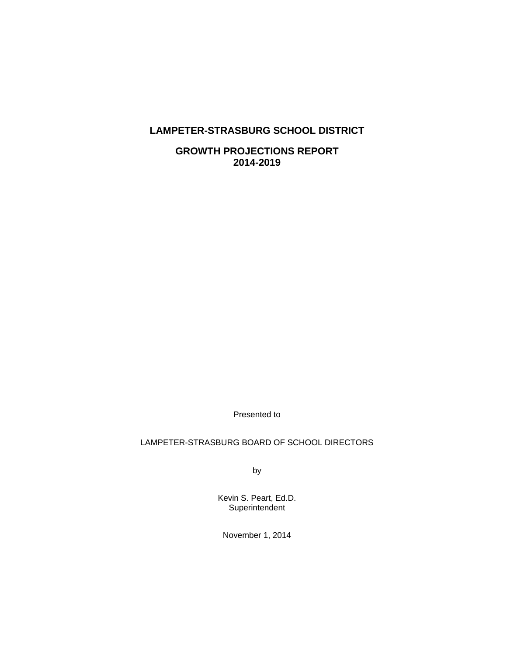# **LAMPETER-STRASBURG SCHOOL DISTRICT**

**GROWTH PROJECTIONS REPORT 2014-2019** 

Presented to

## LAMPETER-STRASBURG BOARD OF SCHOOL DIRECTORS

by

Kevin S. Peart, Ed.D. **Superintendent** 

November 1, 2014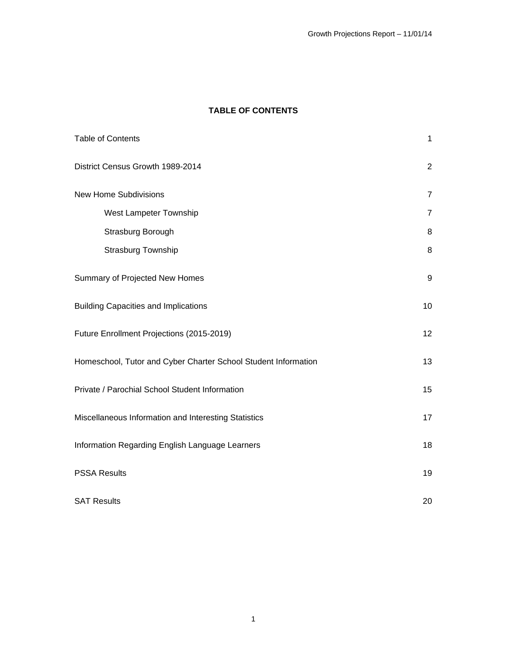# **TABLE OF CONTENTS**

| <b>Table of Contents</b>                                       | $\mathbf{1}$     |
|----------------------------------------------------------------|------------------|
| District Census Growth 1989-2014                               | $\overline{2}$   |
| <b>New Home Subdivisions</b>                                   | $\overline{7}$   |
| West Lampeter Township                                         | $\overline{7}$   |
| Strasburg Borough                                              | $\, 8$           |
| <b>Strasburg Township</b>                                      | $\, 8$           |
| Summary of Projected New Homes                                 | $\boldsymbol{9}$ |
| <b>Building Capacities and Implications</b>                    | 10               |
| Future Enrollment Projections (2015-2019)                      | 12               |
| Homeschool, Tutor and Cyber Charter School Student Information | 13               |
| Private / Parochial School Student Information                 | 15               |
| Miscellaneous Information and Interesting Statistics           | 17               |
| Information Regarding English Language Learners                | 18               |
| <b>PSSA Results</b>                                            | 19               |
| <b>SAT Results</b>                                             | 20               |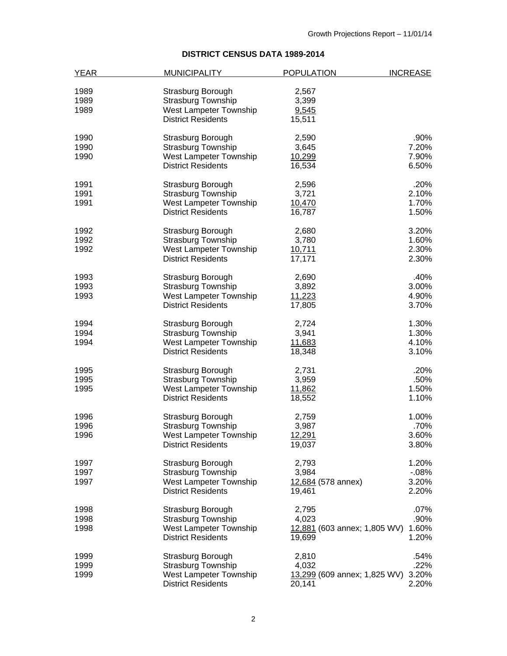# **DISTRICT CENSUS DATA 1989-2014**

| <b>YEAR</b> | <b>MUNICIPALITY</b>       | <b>POPULATION</b>            | <b>INCREASE</b> |
|-------------|---------------------------|------------------------------|-----------------|
|             |                           |                              |                 |
| 1989        | Strasburg Borough         | 2,567                        |                 |
| 1989        | <b>Strasburg Township</b> | 3,399                        |                 |
| 1989        | West Lampeter Township    | 9,545                        |                 |
|             | <b>District Residents</b> | 15,511                       |                 |
| 1990        | Strasburg Borough         | 2,590                        | .90%            |
| 1990        | <b>Strasburg Township</b> | 3,645                        | 7.20%           |
| 1990        | West Lampeter Township    | 10,299                       | 7.90%           |
|             | <b>District Residents</b> | 16,534                       | 6.50%           |
| 1991        | Strasburg Borough         | 2,596                        | .20%            |
| 1991        | <b>Strasburg Township</b> | 3,721                        | 2.10%           |
| 1991        | West Lampeter Township    | 10,470                       | 1.70%           |
|             | <b>District Residents</b> | 16,787                       | 1.50%           |
| 1992        | Strasburg Borough         | 2,680                        | 3.20%           |
| 1992        | <b>Strasburg Township</b> | 3,780                        | 1.60%           |
| 1992        | West Lampeter Township    | 10,711                       | 2.30%           |
|             | <b>District Residents</b> | 17,171                       | 2.30%           |
| 1993        | Strasburg Borough         | 2,690                        | .40%            |
| 1993        | <b>Strasburg Township</b> | 3,892                        | 3.00%           |
| 1993        | West Lampeter Township    | 11,223                       | 4.90%           |
|             | <b>District Residents</b> | 17,805                       | 3.70%           |
| 1994        | Strasburg Borough         | 2,724                        | 1.30%           |
| 1994        | <b>Strasburg Township</b> | 3,941                        | 1.30%           |
| 1994        | West Lampeter Township    | 11,683                       | 4.10%           |
|             | <b>District Residents</b> | 18,348                       | 3.10%           |
| 1995        | Strasburg Borough         | 2,731                        | .20%            |
| 1995        | <b>Strasburg Township</b> | 3,959                        | .50%            |
| 1995        | West Lampeter Township    | 11,862                       | 1.50%           |
|             | <b>District Residents</b> | 18,552                       | 1.10%           |
| 1996        | Strasburg Borough         | 2,759                        | 1.00%           |
| 1996        | Strasburg Township        | 3,987                        | .70%            |
| 1996        | West Lampeter Township    | 12,291                       | 3.60%           |
|             | <b>District Residents</b> | 19,037                       | 3.80%           |
| 1997        | Strasburg Borough         | 2,793                        | 1.20%           |
| 1997        | <b>Strasburg Township</b> | 3,984                        | $-08%$          |
| 1997        | West Lampeter Township    | 12,684 (578 annex)           | 3.20%           |
|             | <b>District Residents</b> | 19,461                       | 2.20%           |
| 1998        | Strasburg Borough         | 2,795                        | .07%            |
| 1998        | <b>Strasburg Township</b> | 4,023                        | .90%            |
| 1998        | West Lampeter Township    | 12,881 (603 annex; 1,805 WV) | 1.60%           |
|             | <b>District Residents</b> | 19,699                       | 1.20%           |
| 1999        | Strasburg Borough         | 2,810                        | .54%            |
| 1999        | Strasburg Township        | 4,032                        | .22%            |
| 1999        | West Lampeter Township    | 13,299 (609 annex; 1,825 WV) | 3.20%           |
|             | <b>District Residents</b> | 20,141                       | 2.20%           |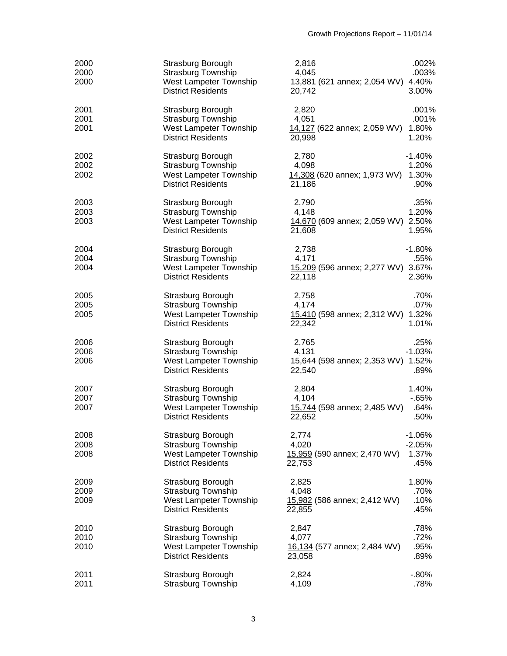| 2000<br>2000<br>2000 | Strasburg Borough<br><b>Strasburg Township</b><br>West Lampeter Township<br><b>District Residents</b> | 2,816<br>4,045<br>13,881 (621 annex; 2,054 WV) 4.40%<br>20,742 | .002%<br>.003%<br>3.00%               |
|----------------------|-------------------------------------------------------------------------------------------------------|----------------------------------------------------------------|---------------------------------------|
| 2001<br>2001<br>2001 | Strasburg Borough<br><b>Strasburg Township</b><br>West Lampeter Township<br><b>District Residents</b> | 2,820<br>4,051<br>14,127 (622 annex; 2,059 WV)<br>20,998       | .001%<br>.001%<br>1.80%<br>1.20%      |
| 2002<br>2002<br>2002 | Strasburg Borough<br><b>Strasburg Township</b><br>West Lampeter Township<br><b>District Residents</b> | 2,780<br>4,098<br>14,308 (620 annex; 1,973 WV)<br>21,186       | $-1.40%$<br>1.20%<br>1.30%<br>.90%    |
| 2003<br>2003<br>2003 | Strasburg Borough<br><b>Strasburg Township</b><br>West Lampeter Township<br><b>District Residents</b> | 2,790<br>4,148<br>14,670 (609 annex; 2,059 WV) 2.50%<br>21,608 | .35%<br>1.20%<br>1.95%                |
| 2004<br>2004<br>2004 | Strasburg Borough<br><b>Strasburg Township</b><br>West Lampeter Township<br><b>District Residents</b> | 2,738<br>4,171<br>15,209 (596 annex; 2,277 WV) 3.67%<br>22,118 | $-1.80%$<br>.55%<br>2.36%             |
| 2005<br>2005<br>2005 | Strasburg Borough<br><b>Strasburg Township</b><br>West Lampeter Township<br><b>District Residents</b> | 2,758<br>4,174<br>15,410 (598 annex; 2,312 WV) 1.32%<br>22,342 | .70%<br>.07%<br>1.01%                 |
| 2006<br>2006<br>2006 | Strasburg Borough<br>Strasburg Township<br>West Lampeter Township<br><b>District Residents</b>        | 2,765<br>4,131<br>15,644 (598 annex; 2,353 WV) 1.52%<br>22,540 | .25%<br>$-1.03%$<br>.89%              |
| 2007<br>2007<br>2007 | Strasburg Borough<br>Strasburg Township<br>West Lampeter Township<br><b>District Residents</b>        | 2,804<br>4,104<br>15,744 (598 annex; 2,485 WV)<br>22,652       | 1.40%<br>$-65%$<br>.64%<br>.50%       |
| 2008<br>2008<br>2008 | Strasburg Borough<br><b>Strasburg Township</b><br>West Lampeter Township<br><b>District Residents</b> | 2,774<br>4,020<br>15,959 (590 annex; 2,470 WV)<br>22,753       | $-1.06%$<br>$-2.05%$<br>1.37%<br>.45% |
| 2009<br>2009<br>2009 | Strasburg Borough<br><b>Strasburg Township</b><br>West Lampeter Township<br><b>District Residents</b> | 2,825<br>4,048<br>15,982 (586 annex; 2,412 WV)<br>22,855       | 1.80%<br>.70%<br>.10%<br>.45%         |
| 2010<br>2010<br>2010 | Strasburg Borough<br><b>Strasburg Township</b><br>West Lampeter Township<br><b>District Residents</b> | 2,847<br>4,077<br>16,134 (577 annex; 2,484 WV)<br>23,058       | .78%<br>.72%<br>.95%<br>.89%          |
| 2011<br>2011         | Strasburg Borough<br>Strasburg Township                                                               | 2,824<br>4,109                                                 | $-0.80%$<br>.78%                      |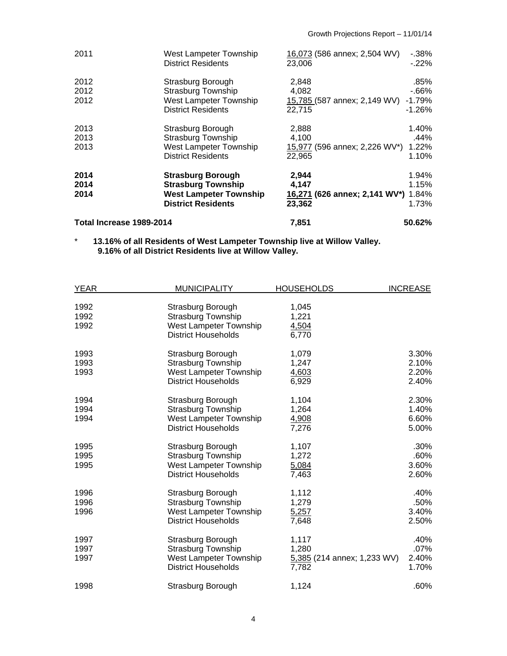| 2011                     | West Lampeter Township<br><b>District Residents</b>                                                                 | 16,073 (586 annex; 2,504 WV)<br>23,006                          | $-0.38%$<br>$-22%$                     |
|--------------------------|---------------------------------------------------------------------------------------------------------------------|-----------------------------------------------------------------|----------------------------------------|
| 2012<br>2012<br>2012     | Strasburg Borough<br><b>Strasburg Township</b><br>West Lampeter Township<br><b>District Residents</b>               | 2,848<br>4,082<br>15,785 (587 annex; 2,149 WV)<br>22,715        | .85%<br>$-66%$<br>$-1.79%$<br>$-1.26%$ |
| 2013<br>2013<br>2013     | Strasburg Borough<br><b>Strasburg Township</b><br>West Lampeter Township<br><b>District Residents</b>               | 2,888<br>4,100<br>15,977 (596 annex; 2,226 WV*)<br>22.965       | 1.40%<br>.44%<br>1.22%<br>1.10%        |
| 2014<br>2014<br>2014     | <b>Strasburg Borough</b><br><b>Strasburg Township</b><br><b>West Lampeter Township</b><br><b>District Residents</b> | 2,944<br>4,147<br>16,271 (626 annex; 2,141 WV*) 1.84%<br>23,362 | 1.94%<br>1.15%<br>1.73%                |
| Total Increase 1989-2014 |                                                                                                                     | 7.851                                                           | 50.62%                                 |

 \* **13.16% of all Residents of West Lampeter Township live at Willow Valley. 9.16% of all District Residents live at Willow Valley.** 

| <b>YEAR</b> | <b>MUNICIPALITY</b>        | <b>HOUSEHOLDS</b>           | <b>INCREASE</b> |
|-------------|----------------------------|-----------------------------|-----------------|
|             |                            |                             |                 |
| 1992        | Strasburg Borough          | 1,045                       |                 |
| 1992        | Strasburg Township         | 1,221                       |                 |
| 1992        | West Lampeter Township     | 4,504                       |                 |
|             | <b>District Households</b> | 6,770                       |                 |
| 1993        | Strasburg Borough          | 1,079                       | 3.30%           |
| 1993        | <b>Strasburg Township</b>  | 1,247                       | 2.10%           |
| 1993        | West Lampeter Township     | 4,603                       | 2.20%           |
|             | <b>District Households</b> | 6,929                       | 2.40%           |
| 1994        | Strasburg Borough          | 1,104                       | 2.30%           |
| 1994        | <b>Strasburg Township</b>  | 1,264                       | 1.40%           |
| 1994        | West Lampeter Township     | 4,908                       | 6.60%           |
|             | <b>District Households</b> | 7,276                       | 5.00%           |
| 1995        | Strasburg Borough          | 1,107                       | .30%            |
| 1995        | <b>Strasburg Township</b>  | 1,272                       | .60%            |
| 1995        | West Lampeter Township     | 5,084                       | 3.60%           |
|             | <b>District Households</b> | 7,463                       | 2.60%           |
| 1996        | Strasburg Borough          | 1,112                       | .40%            |
| 1996        | <b>Strasburg Township</b>  | 1,279                       | .50%            |
| 1996        | West Lampeter Township     | 5,257                       | 3.40%           |
|             | District Households        | 7,648                       | 2.50%           |
| 1997        | Strasburg Borough          | 1,117                       | .40%            |
| 1997        | <b>Strasburg Township</b>  | 1,280                       | .07%            |
| 1997        | West Lampeter Township     | 5,385 (214 annex; 1,233 WV) | 2.40%           |
|             | <b>District Households</b> | 7,782                       | 1.70%           |
| 1998        | Strasburg Borough          | 1,124                       | .60%            |
|             |                            |                             |                 |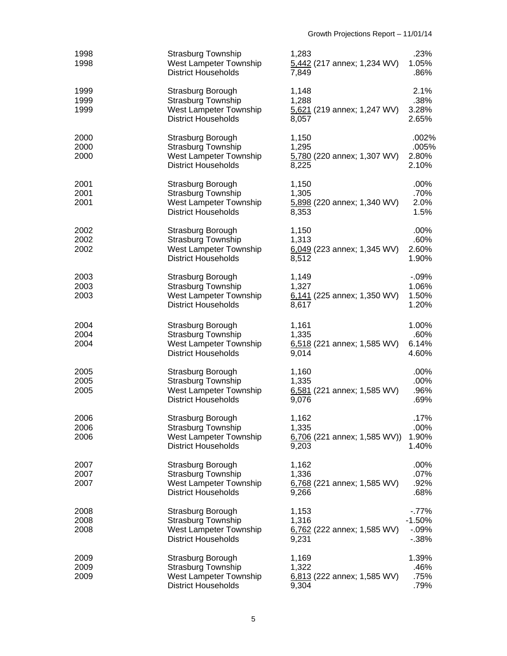| 1998<br>1998         | <b>Strasburg Township</b><br>West Lampeter Township<br><b>District Households</b>                      | 1,283<br>5,442 (217 annex; 1,234 WV)<br>7,849            | .23%<br>1.05%<br>.86%                    |
|----------------------|--------------------------------------------------------------------------------------------------------|----------------------------------------------------------|------------------------------------------|
| 1999<br>1999<br>1999 | Strasburg Borough<br><b>Strasburg Township</b><br>West Lampeter Township<br><b>District Households</b> | 1,148<br>1,288<br>5,621 (219 annex; 1,247 WV)<br>8,057   | 2.1%<br>.38%<br>3.28%<br>2.65%           |
| 2000<br>2000<br>2000 | Strasburg Borough<br><b>Strasburg Township</b><br>West Lampeter Township<br><b>District Households</b> | 1,150<br>1,295<br>5,780 (220 annex; 1,307 WV)<br>8,225   | .002%<br>.005%<br>2.80%<br>2.10%         |
| 2001<br>2001<br>2001 | Strasburg Borough<br>Strasburg Township<br>West Lampeter Township<br><b>District Households</b>        | 1,150<br>1,305<br>5,898 (220 annex; 1,340 WV)<br>8,353   | $.00\%$<br>.70%<br>2.0%<br>1.5%          |
| 2002<br>2002<br>2002 | Strasburg Borough<br><b>Strasburg Township</b><br>West Lampeter Township<br><b>District Households</b> | 1,150<br>1,313<br>6,049 (223 annex; 1,345 WV)<br>8,512   | .00%<br>.60%<br>2.60%<br>1.90%           |
| 2003<br>2003<br>2003 | Strasburg Borough<br>Strasburg Township<br>West Lampeter Township<br><b>District Households</b>        | 1,149<br>1,327<br>6,141 (225 annex; 1,350 WV)<br>8,617   | $-0.09%$<br>1.06%<br>1.50%<br>1.20%      |
| 2004<br>2004<br>2004 | Strasburg Borough<br><b>Strasburg Township</b><br>West Lampeter Township<br><b>District Households</b> | 1,161<br>1,335<br>6,518 (221 annex; 1,585 WV)<br>9,014   | 1.00%<br>.60%<br>6.14%<br>4.60%          |
| 2005<br>2005<br>2005 | Strasburg Borough<br><b>Strasburg Township</b><br>West Lampeter Township<br><b>District Households</b> | 1,160<br>1,335<br>6,581 (221 annex; 1,585 WV)<br>9,076   | .00%<br>.00%<br>.96%<br>.69%             |
| 2006<br>2006<br>2006 | Strasburg Borough<br><b>Strasburg Township</b><br>West Lampeter Township<br><b>District Households</b> | 1,162<br>1,335<br>6,706 (221 annex; 1,585 WV))<br>9,203  | .17%<br>$.00\%$<br>1.90%<br>1.40%        |
| 2007<br>2007<br>2007 | Strasburg Borough<br><b>Strasburg Township</b><br>West Lampeter Township<br><b>District Households</b> | 1,162<br>1,336<br>6,768 (221 annex; 1,585 WV)<br>9,266   | .00%<br>.07%<br>.92%<br>.68%             |
| 2008<br>2008<br>2008 | Strasburg Borough<br><b>Strasburg Township</b><br>West Lampeter Township<br><b>District Households</b> | 1,153<br>1,316<br>6,762 (222 annex; 1,585 WV)<br>9,231   | $-77%$<br>$-1.50%$<br>$-0.09%$<br>$-38%$ |
| 2009<br>2009<br>2009 | Strasburg Borough<br><b>Strasburg Township</b><br>West Lampeter Township<br><b>District Households</b> | 1,169<br>1,322<br>$6,813$ (222 annex; 1,585 WV)<br>9,304 | 1.39%<br>.46%<br>.75%<br>.79%            |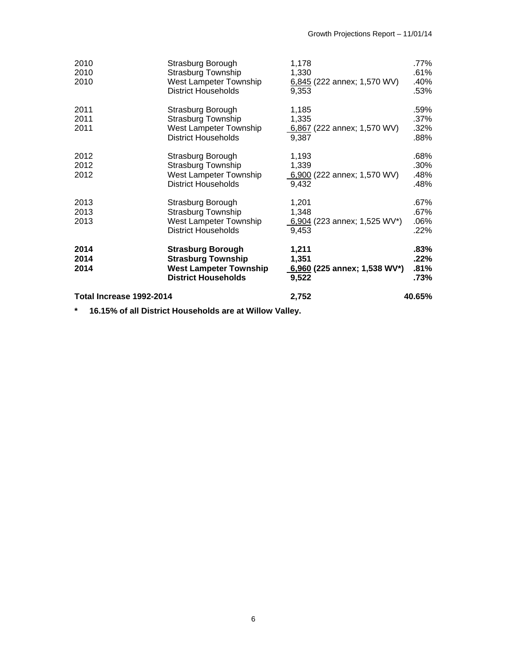| Total Increase 1992-2014 |                                                                                                                      | 2,752                                                   | 40.65%                             |
|--------------------------|----------------------------------------------------------------------------------------------------------------------|---------------------------------------------------------|------------------------------------|
| 2014<br>2014<br>2014     | <b>Strasburg Borough</b><br><b>Strasburg Township</b><br><b>West Lampeter Township</b><br><b>District Households</b> | 1,211<br>1,351<br>6,960 (225 annex; 1,538 WV*)<br>9,522 | $.83\%$<br>$.22\%$<br>.81%<br>.73% |
| 2013<br>2013<br>2013     | Strasburg Borough<br><b>Strasburg Township</b><br>West Lampeter Township<br><b>District Households</b>               | 1,201<br>1,348<br>6,904 (223 annex; 1,525 WV*)<br>9,453 | .67%<br>.67%<br>.06%<br>.22%       |
| 2012<br>2012<br>2012     | Strasburg Borough<br><b>Strasburg Township</b><br>West Lampeter Township<br><b>District Households</b>               | 1,193<br>1,339<br>6,900 (222 annex; 1,570 WV)<br>9,432  | .68%<br>$.30\%$<br>.48%<br>.48%    |
| 2011<br>2011<br>2011     | Strasburg Borough<br><b>Strasburg Township</b><br>West Lampeter Township<br><b>District Households</b>               | 1,185<br>1,335<br>6,867 (222 annex; 1,570 WV)<br>9,387  | .59%<br>.37%<br>.32%<br>.88%       |
| 2010<br>2010<br>2010     | Strasburg Borough<br>Strasburg Township<br>West Lampeter Township<br><b>District Households</b>                      | 1,178<br>1,330<br>6,845 (222 annex; 1,570 WV)<br>9.353  | .77%<br>.61%<br>.40%<br>.53%       |

**\* 16.15% of all District Households are at Willow Valley.**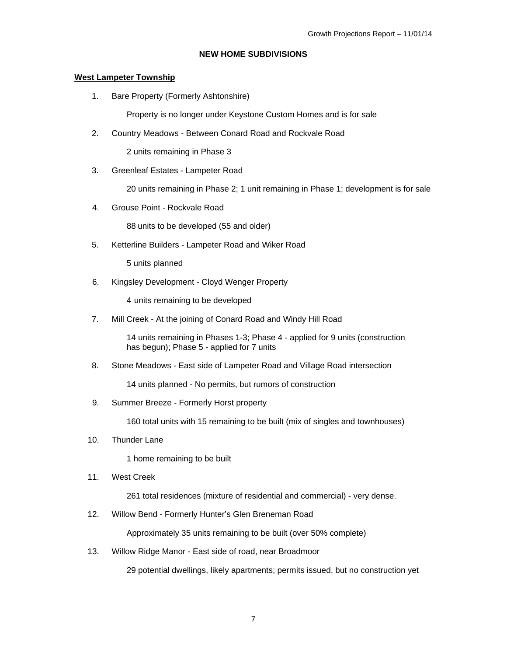## **NEW HOME SUBDIVISIONS**

## **West Lampeter Township**

1. Bare Property (Formerly Ashtonshire)

Property is no longer under Keystone Custom Homes and is for sale

2. Country Meadows - Between Conard Road and Rockvale Road

2 units remaining in Phase 3

3. Greenleaf Estates - Lampeter Road

20 units remaining in Phase 2; 1 unit remaining in Phase 1; development is for sale

4. Grouse Point - Rockvale Road

88 units to be developed (55 and older)

5. Ketterline Builders - Lampeter Road and Wiker Road

5 units planned

6. Kingsley Development - Cloyd Wenger Property

4 units remaining to be developed

7. Mill Creek - At the joining of Conard Road and Windy Hill Road

 14 units remaining in Phases 1-3; Phase 4 - applied for 9 units (construction has begun); Phase 5 - applied for 7 units

8. Stone Meadows - East side of Lampeter Road and Village Road intersection

14 units planned - No permits, but rumors of construction

9. Summer Breeze - Formerly Horst property

160 total units with 15 remaining to be built (mix of singles and townhouses)

10. Thunder Lane

1 home remaining to be built

11. West Creek

261 total residences (mixture of residential and commercial) - very dense.

12. Willow Bend - Formerly Hunter's Glen Breneman Road

Approximately 35 units remaining to be built (over 50% complete)

13. Willow Ridge Manor - East side of road, near Broadmoor

29 potential dwellings, likely apartments; permits issued, but no construction yet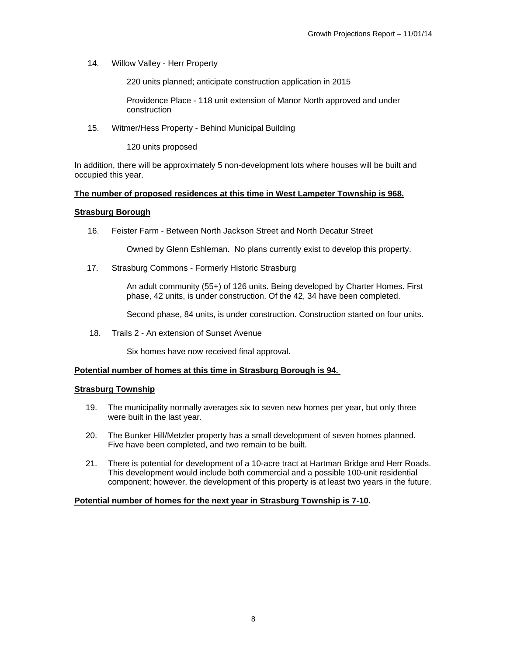14. Willow Valley - Herr Property

220 units planned; anticipate construction application in 2015

Providence Place - 118 unit extension of Manor North approved and under construction

15. Witmer/Hess Property - Behind Municipal Building

120 units proposed

In addition, there will be approximately 5 non-development lots where houses will be built and occupied this year.

#### **The number of proposed residences at this time in West Lampeter Township is 968.**

## **Strasburg Borough**

16. Feister Farm - Between North Jackson Street and North Decatur Street

Owned by Glenn Eshleman. No plans currently exist to develop this property.

17. Strasburg Commons - Formerly Historic Strasburg

An adult community (55+) of 126 units. Being developed by Charter Homes. First phase, 42 units, is under construction. Of the 42, 34 have been completed.

Second phase, 84 units, is under construction. Construction started on four units.

18. Trails 2 - An extension of Sunset Avenue

Six homes have now received final approval.

#### **Potential number of homes at this time in Strasburg Borough is 94.**

#### **Strasburg Township**

- 19. The municipality normally averages six to seven new homes per year, but only three were built in the last year.
- 20. The Bunker Hill/Metzler property has a small development of seven homes planned. Five have been completed, and two remain to be built.
- 21. There is potential for development of a 10-acre tract at Hartman Bridge and Herr Roads. This development would include both commercial and a possible 100-unit residential component; however, the development of this property is at least two years in the future.

#### **Potential number of homes for the next year in Strasburg Township is 7-10.**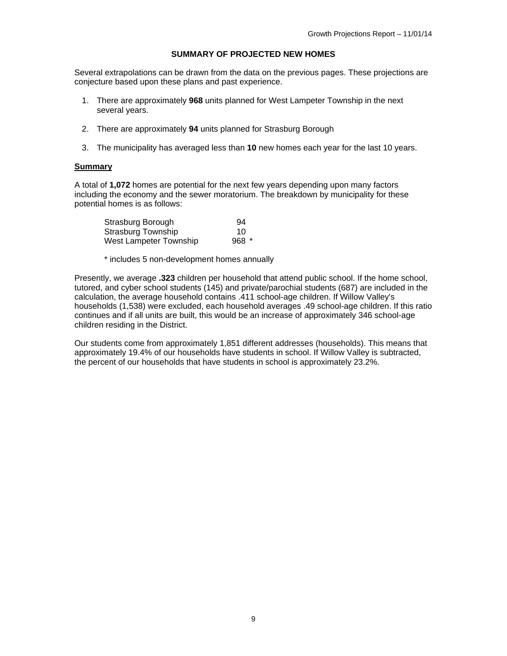## **SUMMARY OF PROJECTED NEW HOMES**

Several extrapolations can be drawn from the data on the previous pages. These projections are conjecture based upon these plans and past experience.

- 1. There are approximately **968** units planned for West Lampeter Township in the next several years.
- 2. There are approximately **94** units planned for Strasburg Borough
- 3. The municipality has averaged less than **10** new homes each year for the last 10 years.

#### **Summary**

A total of **1,072** homes are potential for the next few years depending upon many factors including the economy and the sewer moratorium. The breakdown by municipality for these potential homes is as follows:

| Strasburg Borough         | 94     |
|---------------------------|--------|
| <b>Strasburg Township</b> | 10     |
| West Lampeter Township    | $968*$ |

\* includes 5 non-development homes annually

Presently, we average **.323** children per household that attend public school. If the home school, tutored, and cyber school students (145) and private/parochial students (687) are included in the calculation, the average household contains .411 school-age children. If Willow Valley's households (1,538) were excluded, each household averages .49 school-age children. If this ratio continues and if all units are built, this would be an increase of approximately 346 school-age children residing in the District.

Our students come from approximately 1,851 different addresses (households). This means that approximately 19.4% of our households have students in school. If Willow Valley is subtracted, the percent of our households that have students in school is approximately 23.2%.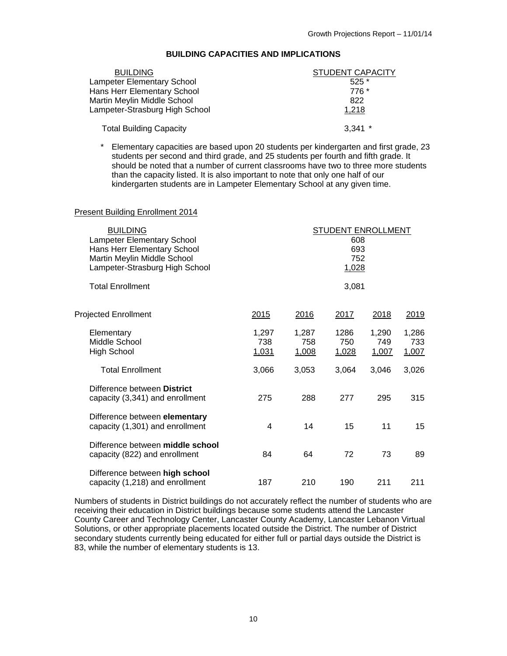| BUILDING CAPACITIES AND IMPLICATIONS |  |
|--------------------------------------|--|
|--------------------------------------|--|

| <b>BUILDING</b>                   | STUDENT CAPACITY |
|-----------------------------------|------------------|
| <b>Lampeter Elementary School</b> | $525*$           |
| Hans Herr Elementary School       | 776 *            |
| Martin Meylin Middle School       | 822              |
| Lampeter-Strasburg High School    | 1,218            |
| <b>Total Building Capacity</b>    | $3,341$ *        |

\* Elementary capacities are based upon 20 students per kindergarten and first grade, 23 students per second and third grade, and 25 students per fourth and fifth grade. It should be noted that a number of current classrooms have two to three more students than the capacity listed. It is also important to note that only one half of our kindergarten students are in Lampeter Elementary School at any given time.

#### Present Building Enrollment 2014

| <b>BUILDING</b><br><b>Lampeter Elementary School</b><br>Hans Herr Elementary School<br>Martin Meylin Middle School<br>Lampeter-Strasburg High School |                       |                       | <b>STUDENT ENROLLMENT</b><br>608<br>693<br>752<br>1,028 |                       |                       |
|------------------------------------------------------------------------------------------------------------------------------------------------------|-----------------------|-----------------------|---------------------------------------------------------|-----------------------|-----------------------|
| <b>Total Enrollment</b>                                                                                                                              |                       |                       | 3,081                                                   |                       |                       |
| <b>Projected Enrollment</b>                                                                                                                          | 2015                  | 2016                  | 2017                                                    | 2018                  | 2019                  |
| Elementary<br>Middle School<br>High School                                                                                                           | 1,297<br>738<br>1,031 | 1,287<br>758<br>1,008 | 1286<br>750<br>1,028                                    | 1,290<br>749<br>1,007 | 1,286<br>733<br>1,007 |
| <b>Total Enrollment</b>                                                                                                                              | 3,066                 | 3,053                 | 3,064                                                   | 3,046                 | 3,026                 |
| Difference between District<br>capacity (3,341) and enrollment                                                                                       | 275                   | 288                   | 277                                                     | 295                   | 315                   |
| Difference between elementary<br>capacity (1,301) and enrollment                                                                                     | 4                     | 14                    | 15                                                      | 11                    | 15                    |
| Difference between middle school<br>capacity (822) and enrollment                                                                                    | 84                    | 64                    | 72                                                      | 73                    | 89                    |
| Difference between high school<br>capacity (1,218) and enrollment                                                                                    | 187                   | 210                   | 190                                                     | 211                   | 211                   |

Numbers of students in District buildings do not accurately reflect the number of students who are receiving their education in District buildings because some students attend the Lancaster County Career and Technology Center, Lancaster County Academy, Lancaster Lebanon Virtual Solutions, or other appropriate placements located outside the District. The number of District secondary students currently being educated for either full or partial days outside the District is 83, while the number of elementary students is 13.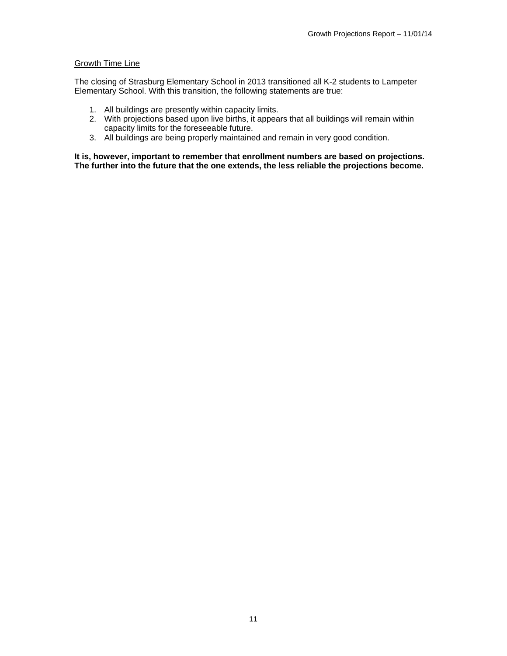## **Growth Time Line**

The closing of Strasburg Elementary School in 2013 transitioned all K-2 students to Lampeter Elementary School. With this transition, the following statements are true:

- 1. All buildings are presently within capacity limits.
- 2. With projections based upon live births, it appears that all buildings will remain within capacity limits for the foreseeable future.
- 3. All buildings are being properly maintained and remain in very good condition.

**It is, however, important to remember that enrollment numbers are based on projections. The further into the future that the one extends, the less reliable the projections become.**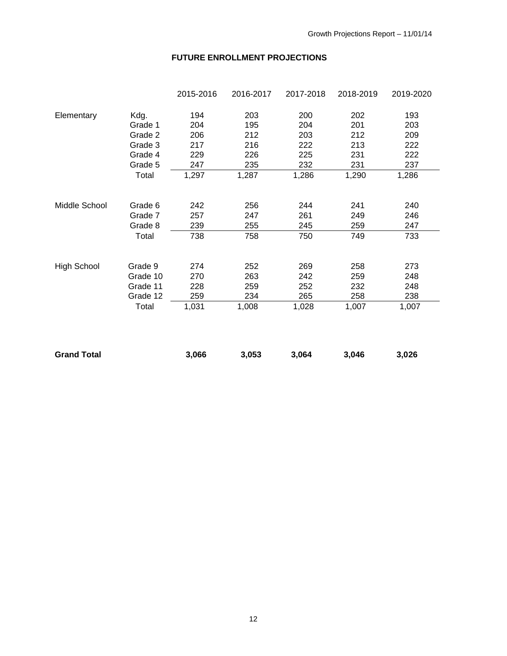# **FUTURE ENROLLMENT PROJECTIONS**

|                    |          | 2015-2016 | 2016-2017 | 2017-2018 | 2018-2019 | 2019-2020 |
|--------------------|----------|-----------|-----------|-----------|-----------|-----------|
| Elementary         | Kdg.     | 194       | 203       | 200       | 202       | 193       |
|                    | Grade 1  | 204       | 195       | 204       | 201       | 203       |
|                    | Grade 2  | 206       | 212       | 203       | 212       | 209       |
|                    | Grade 3  | 217       | 216       | 222       | 213       | 222       |
|                    | Grade 4  | 229       | 226       | 225       | 231       | 222       |
|                    | Grade 5  | 247       | 235       | 232       | 231       | 237       |
|                    | Total    | 1,297     | 1,287     | 1,286     | 1,290     | 1,286     |
| Middle School      | Grade 6  | 242       | 256       | 244       | 241       | 240       |
|                    | Grade 7  | 257       | 247       | 261       | 249       | 246       |
|                    | Grade 8  | 239       | 255       | 245       | 259       | 247       |
|                    | Total    | 738       | 758       | 750       | 749       | 733       |
| <b>High School</b> | Grade 9  | 274       | 252       | 269       | 258       | 273       |
|                    | Grade 10 | 270       | 263       | 242       | 259       | 248       |
|                    | Grade 11 | 228       | 259       | 252       | 232       | 248       |
|                    | Grade 12 | 259       | 234       | 265       | 258       | 238       |
|                    | Total    | 1,031     | 1,008     | 1,028     | 1,007     | 1,007     |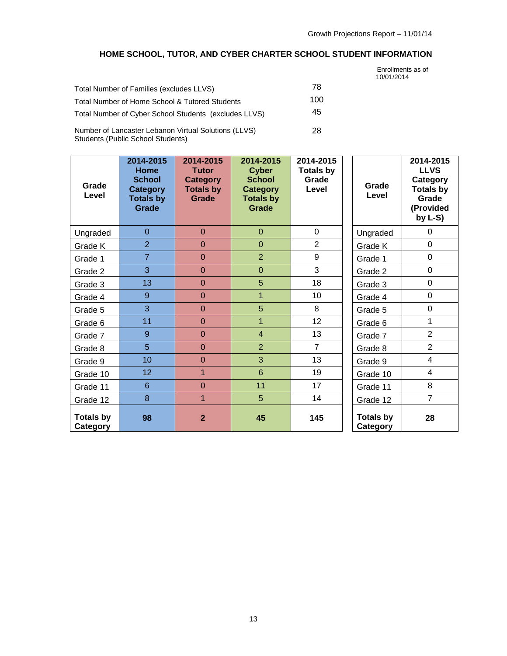# **HOME SCHOOL, TUTOR, AND CYBER CHARTER SCHOOL STUDENT INFORMATION**

10/01/2014

|                                                       |     | Enrollments as of<br>10/01/2014 |
|-------------------------------------------------------|-----|---------------------------------|
| Total Number of Families (excludes LLVS)              | 78  |                                 |
| Total Number of Home School & Tutored Students        | 100 |                                 |
| Total Number of Cyber School Students (excludes LLVS) | 45  |                                 |
| Number of Lancaster Lebanon Virtual Solutions (LLVS)  | 28  |                                 |

Number of Lancaster Lebanon Virtual Solutions (LLVS) Students (Public School Students)

| Grade<br>Level               | 2014-2015<br>Home<br><b>School</b><br>Category<br><b>Totals by</b><br>Grade | 2014-2015<br><b>Tutor</b><br><b>Category</b><br><b>Totals by</b><br>Grade | 2014-2015<br><b>Cyber</b><br><b>School</b><br><b>Category</b><br><b>Totals by</b><br>Grade | 2014-2015<br><b>Totals by</b><br>Grade<br>Level | Grade<br>Level               | 2014-2015<br><b>LLVS</b><br>Category<br><b>Totals by</b><br>Grade<br>(Provided<br>by $L-S$ ) |
|------------------------------|-----------------------------------------------------------------------------|---------------------------------------------------------------------------|--------------------------------------------------------------------------------------------|-------------------------------------------------|------------------------------|----------------------------------------------------------------------------------------------|
| Ungraded                     | $\overline{0}$                                                              | $\Omega$                                                                  | $\overline{0}$                                                                             | $\Omega$                                        | Ungraded                     | $\Omega$                                                                                     |
| Grade K                      | $\overline{2}$                                                              | $\overline{0}$                                                            | $\overline{0}$                                                                             | $\overline{2}$                                  | Grade K                      | $\mathbf 0$                                                                                  |
| Grade 1                      | $\overline{7}$                                                              | $\overline{0}$                                                            | $\overline{2}$                                                                             | 9                                               | Grade 1                      | $\mathbf 0$                                                                                  |
| Grade 2                      | $\overline{3}$                                                              | $\overline{0}$                                                            | $\overline{0}$                                                                             | 3                                               | Grade 2                      | 0                                                                                            |
| Grade 3                      | 13                                                                          | $\overline{0}$                                                            | 5                                                                                          | 18                                              | Grade 3                      | $\mathbf 0$                                                                                  |
| Grade 4                      | 9                                                                           | $\overline{0}$                                                            | $\overline{1}$                                                                             | 10                                              | Grade 4                      | $\mathbf 0$                                                                                  |
| Grade 5                      | 3                                                                           | $\overline{0}$                                                            | 5                                                                                          | 8                                               | Grade 5                      | 0                                                                                            |
| Grade 6                      | 11                                                                          | $\mathbf 0$                                                               | $\mathbf{1}$                                                                               | 12                                              | Grade 6                      | 1                                                                                            |
| Grade 7                      | 9                                                                           | $\overline{0}$                                                            | $\overline{4}$                                                                             | 13                                              | Grade 7                      | $\overline{2}$                                                                               |
| Grade 8                      | 5                                                                           | $\overline{0}$                                                            | $\overline{2}$                                                                             | $\overline{7}$                                  | Grade 8                      | $\overline{2}$                                                                               |
| Grade 9                      | 10                                                                          | $\overline{0}$                                                            | 3                                                                                          | 13                                              | Grade 9                      | $\overline{4}$                                                                               |
| Grade 10                     | 12                                                                          | $\mathbf{1}$                                                              | $6\phantom{1}$                                                                             | 19                                              | Grade 10                     | 4                                                                                            |
| Grade 11                     | $6\phantom{1}$                                                              | $\overline{0}$                                                            | 11                                                                                         | 17                                              | Grade 11                     | 8                                                                                            |
| Grade 12                     | 8                                                                           | $\overline{1}$                                                            | 5                                                                                          | 14                                              | Grade 12                     | $\overline{7}$                                                                               |
| <b>Totals by</b><br>Category | 98                                                                          | $\overline{2}$                                                            | 45                                                                                         | 145                                             | <b>Totals by</b><br>Category | 28                                                                                           |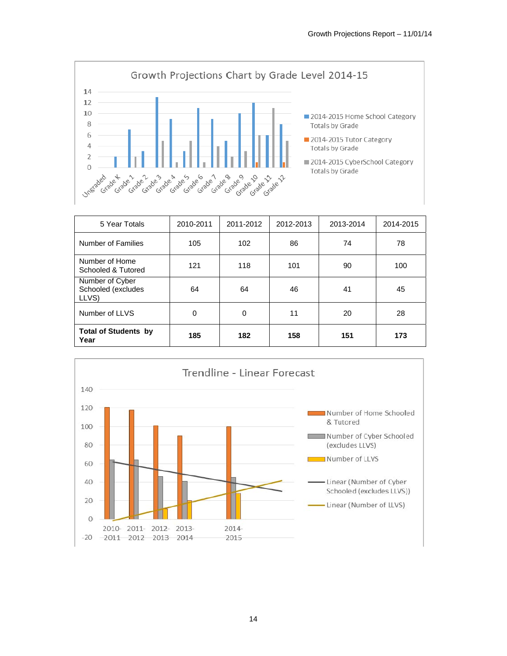

| 5 Year Totals                                  | 2010-2011 | 2011-2012 | 2012-2013 | 2013-2014 | 2014-2015 |
|------------------------------------------------|-----------|-----------|-----------|-----------|-----------|
| Number of Families                             | 105       | 102       | 86        | 74        | 78        |
| Number of Home<br>Schooled & Tutored           | 121       | 118       | 101       | 90        | 100       |
| Number of Cyber<br>Schooled (excludes<br>LLVS) | 64        | 64        | 46        | 41        | 45        |
| Number of LLVS                                 | 0         | 0         | 11        | 20        | 28        |
| <b>Total of Students by</b><br>Year            | 185       | 182       | 158       | 151       | 173       |

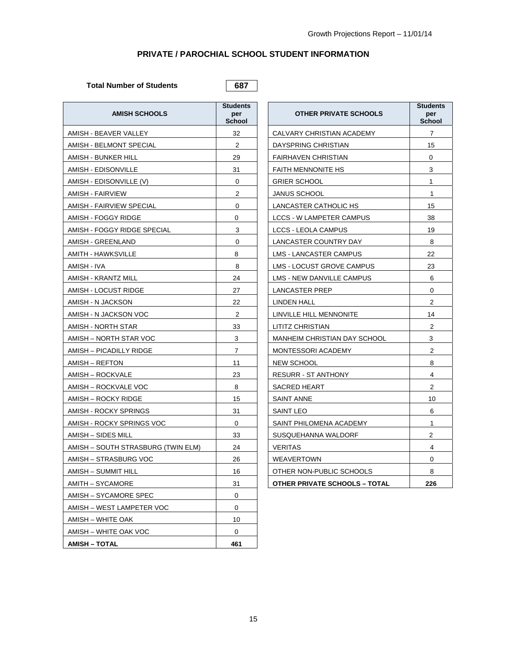## **PRIVATE / PAROCHIAL SCHOOL STUDENT INFORMATION**

Total Number of Students **687** 

| <b>AMISH SCHOOLS</b>               | <b>Students</b><br>per<br><b>School</b> | <b>OTHER PRIVATE SCHOOLS</b>         | <b>Students</b><br>per<br><b>School</b> |
|------------------------------------|-----------------------------------------|--------------------------------------|-----------------------------------------|
| AMISH - BEAVER VALLEY              | 32                                      | CALVARY CHRISTIAN ACADEMY            | $\overline{7}$                          |
| AMISH - BELMONT SPECIAL            | $\overline{2}$                          | DAYSPRING CHRISTIAN                  | 15                                      |
| AMISH - BUNKER HILL                | 29                                      | <b>FAIRHAVEN CHRISTIAN</b>           | 0                                       |
| AMISH - EDISONVILLE                | 31                                      | <b>FAITH MENNONITE HS</b>            | 3                                       |
| AMISH - EDISONVILLE (V)            | 0                                       | <b>GRIER SCHOOL</b>                  | 1                                       |
| AMISH - FAIRVIEW                   | 2                                       | <b>JANUS SCHOOL</b>                  | 1                                       |
| AMISH - FAIRVIEW SPECIAL           | $\Omega$                                | LANCASTER CATHOLIC HS                | 15                                      |
| AMISH - FOGGY RIDGE                | 0                                       | <b>LCCS - W LAMPETER CAMPUS</b>      | 38                                      |
| AMISH - FOGGY RIDGE SPECIAL        | 3                                       | LCCS - LEOLA CAMPUS                  | 19                                      |
| AMISH - GREENLAND                  | 0                                       | LANCASTER COUNTRY DAY                | 8                                       |
| AMITH - HAWKSVILLE                 | 8                                       | <b>LMS - LANCASTER CAMPUS</b>        | 22                                      |
| AMISH - IVA                        | 8                                       | LMS - LOCUST GROVE CAMPUS            | 23                                      |
| AMISH - KRANTZ MILL                | 24                                      | LMS - NEW DANVILLE CAMPUS            | 6                                       |
| AMISH - LOCUST RIDGE               | 27                                      | LANCASTER PREP                       | 0                                       |
| AMISH - N JACKSON                  | 22                                      | <b>LINDEN HALL</b>                   | $\mathbf{2}$                            |
| AMISH - N JACKSON VOC              | 2                                       | LINVILLE HILL MENNONITE              | 14                                      |
| AMISH - NORTH STAR                 | 33                                      | LITITZ CHRISTIAN                     | $\mathbf{2}$                            |
| AMISH - NORTH STAR VOC             | 3                                       | <b>MANHEIM CHRISTIAN DAY SCHOOL</b>  | 3                                       |
| AMISH - PICADILLY RIDGE            | $\overline{7}$                          | MONTESSORI ACADEMY                   | $\overline{2}$                          |
| AMISH – REFTON                     | 11                                      | NEW SCHOOL                           | 8                                       |
| AMISH – ROCKVALE                   | 23                                      | <b>RESURR - ST ANTHONY</b>           | 4                                       |
| AMISH – ROCKVALE VOC               | 8                                       | <b>SACRED HEART</b>                  | $\mathbf{2}$                            |
| AMISH – ROCKY RIDGE                | 15                                      | <b>SAINT ANNE</b>                    | 10                                      |
| AMISH - ROCKY SPRINGS              | 31                                      | <b>SAINT LEO</b>                     | 6                                       |
| AMISH - ROCKY SPRINGS VOC          | $\mathbf 0$                             | SAINT PHILOMENA ACADEMY              | 1                                       |
| AMISH – SIDES MILL                 | 33                                      | SUSQUEHANNA WALDORF                  | $\overline{2}$                          |
| AMISH – SOUTH STRASBURG (TWIN ELM) | 24                                      | <b>VERITAS</b>                       | 4                                       |
| AMISH - STRASBURG VOC              | 26                                      | WEAVERTOWN                           | 0                                       |
| AMISH - SUMMIT HILL                | 16                                      | OTHER NON-PUBLIC SCHOOLS             | 8                                       |
| AMITH – SYCAMORE                   | 31                                      | <b>OTHER PRIVATE SCHOOLS - TOTAL</b> | 226                                     |
| AMISH - SYCAMORE SPEC              | $\mathbf 0$                             |                                      |                                         |
| AMISH - WEST LAMPETER VOC          | 0                                       |                                      |                                         |
| AMISH – WHITE OAK                  | 10                                      |                                      |                                         |
| AMISH – WHITE OAK VOC              | 0                                       |                                      |                                         |
| AMISH – TOTAL                      | 461                                     |                                      |                                         |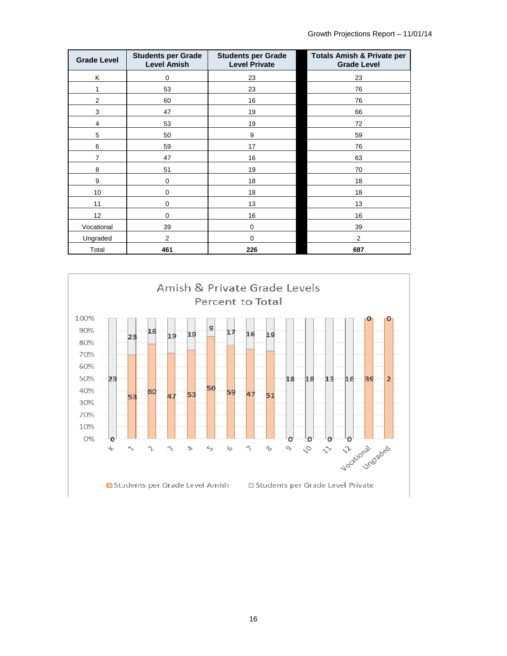| <b>Grade Level</b>      | <b>Students per Grade</b><br><b>Level Amish</b> | <b>Students per Grade</b><br><b>Level Private</b> | <b>Totals Amish &amp; Private per</b><br><b>Grade Level</b> |
|-------------------------|-------------------------------------------------|---------------------------------------------------|-------------------------------------------------------------|
| Κ                       | 0                                               | 23                                                | 23                                                          |
| 1                       | 53                                              | 23                                                | 76                                                          |
| $\sqrt{2}$              | 60                                              | 16                                                | 76                                                          |
| 3                       | 47                                              | 19                                                | 66                                                          |
| $\overline{\mathbf{4}}$ | 53                                              | 19                                                | 72                                                          |
| $\mathbf 5$             | 50                                              | 9                                                 | 59                                                          |
| 6                       | 59                                              | 17                                                | 76                                                          |
| $\overline{7}$          | 47                                              | 16                                                | 63                                                          |
| 8                       | 51                                              | 19                                                | 70                                                          |
| 9                       | $\mathbf 0$                                     | 18                                                | 18                                                          |
| 10                      | 0                                               | 18                                                | 18                                                          |
| 11                      | 0                                               | 13                                                | 13                                                          |
| 12                      | $\Omega$                                        | 16                                                | 16                                                          |
| Vocational              | 39                                              | $\mathbf 0$                                       | 39                                                          |
| Ungraded                | $\overline{2}$                                  | 0                                                 | $\overline{2}$                                              |
| Total                   | 461                                             | 226                                               | 687                                                         |

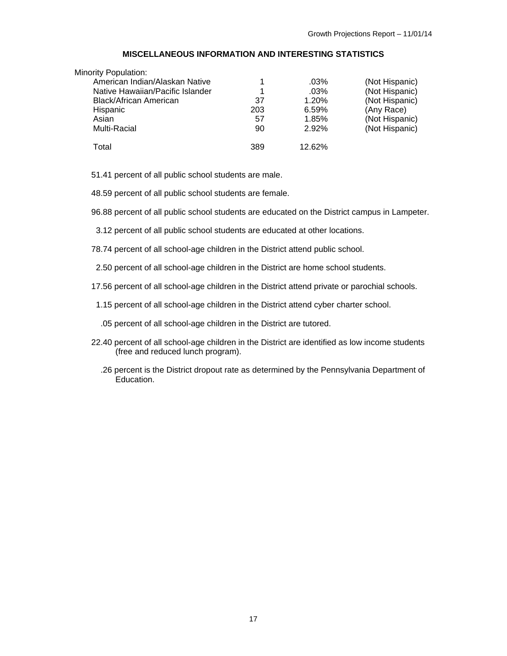## **MISCELLANEOUS INFORMATION AND INTERESTING STATISTICS**

| Minority Population:             |     |         |                |
|----------------------------------|-----|---------|----------------|
| American Indian/Alaskan Native   |     | .03%    | (Not Hispanic) |
| Native Hawaiian/Pacific Islander | 1   | $.03\%$ | (Not Hispanic) |
| Black/African American           | 37  | 1.20%   | (Not Hispanic) |
| Hispanic                         | 203 | 6.59%   | (Any Race)     |
| Asian                            | 57  | 1.85%   | (Not Hispanic) |
| Multi-Racial                     | 90  | 2.92%   | (Not Hispanic) |
| Total                            | 389 | 12.62%  |                |

51.41 percent of all public school students are male.

48.59 percent of all public school students are female.

96.88 percent of all public school students are educated on the District campus in Lampeter.

3.12 percent of all public school students are educated at other locations.

78.74 percent of all school-age children in the District attend public school.

2.50 percent of all school-age children in the District are home school students.

17.56 percent of all school-age children in the District attend private or parochial schools.

1.15 percent of all school-age children in the District attend cyber charter school.

.05 percent of all school-age children in the District are tutored.

- 22.40 percent of all school-age children in the District are identified as low income students (free and reduced lunch program).
	- .26 percent is the District dropout rate as determined by the Pennsylvania Department of .<br>Education.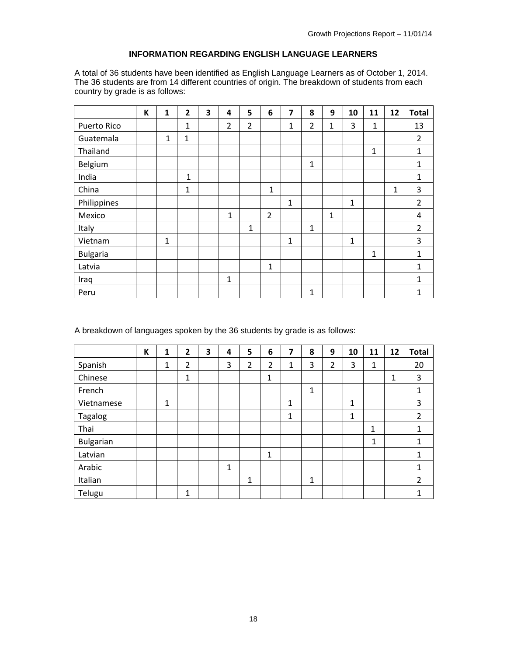## **INFORMATION REGARDING ENGLISH LANGUAGE LEARNERS**

A total of 36 students have been identified as English Language Learners as of October 1, 2014. The 36 students are from 14 different countries of origin. The breakdown of students from each country by grade is as follows:

|                 | К | 1            | $\overline{2}$ | 3 | 4              | 5              | 6              | 7            | 8              | 9            | 10           | 11           | 12           | <b>Total</b>   |
|-----------------|---|--------------|----------------|---|----------------|----------------|----------------|--------------|----------------|--------------|--------------|--------------|--------------|----------------|
| Puerto Rico     |   |              | $\mathbf 1$    |   | $\overline{2}$ | $\overline{2}$ |                | $\mathbf{1}$ | $\overline{2}$ | 1            | 3            | $\mathbf{1}$ |              | 13             |
| Guatemala       |   | 1            | $\mathbf{1}$   |   |                |                |                |              |                |              |              |              |              | $\overline{2}$ |
| Thailand        |   |              |                |   |                |                |                |              |                |              |              | 1            |              | 1              |
| Belgium         |   |              |                |   |                |                |                |              | 1              |              |              |              |              | 1              |
| India           |   |              | $\mathbf{1}$   |   |                |                |                |              |                |              |              |              |              | 1              |
| China           |   |              | $\mathbf{1}$   |   |                |                | 1              |              |                |              |              |              | $\mathbf{1}$ | 3              |
| Philippines     |   |              |                |   |                |                |                | $\mathbf{1}$ |                |              | $\mathbf{1}$ |              |              | $\overline{2}$ |
| Mexico          |   |              |                |   | 1              |                | $\overline{2}$ |              |                | $\mathbf{1}$ |              |              |              | 4              |
| Italy           |   |              |                |   |                | $\mathbf{1}$   |                |              | 1              |              |              |              |              | $\overline{2}$ |
| Vietnam         |   | $\mathbf{1}$ |                |   |                |                |                | 1            |                |              | $\mathbf{1}$ |              |              | 3              |
| <b>Bulgaria</b> |   |              |                |   |                |                |                |              |                |              |              | $\mathbf{1}$ |              | $\mathbf{1}$   |
| Latvia          |   |              |                |   |                |                | $\mathbf{1}$   |              |                |              |              |              |              | $\mathbf{1}$   |
| Iraq            |   |              |                |   | $\mathbf{1}$   |                |                |              |                |              |              |              |              | $\mathbf{1}$   |
| Peru            |   |              |                |   |                |                |                |              | 1              |              |              |              |              | 1              |

A breakdown of languages spoken by the 36 students by grade is as follows:

|                  | K | 1 | $\overline{2}$ | 3 | 4 | 5 | 6 | 7 | 8 | 9              | 10 | 11           | 12 | <b>Total</b>   |
|------------------|---|---|----------------|---|---|---|---|---|---|----------------|----|--------------|----|----------------|
| Spanish          |   | 1 | 2              |   | 3 | 2 | 2 | 1 | 3 | $\overline{2}$ | 3  | 1            |    | 20             |
| Chinese          |   |   | 1              |   |   |   | 1 |   |   |                |    |              | 1  | 3              |
| French           |   |   |                |   |   |   |   |   | 1 |                |    |              |    | 1              |
| Vietnamese       |   | 1 |                |   |   |   |   | 1 |   |                | 1  |              |    | 3              |
| Tagalog          |   |   |                |   |   |   |   | 1 |   |                | 1  |              |    | $\overline{2}$ |
| Thai             |   |   |                |   |   |   |   |   |   |                |    | 1            |    | 1              |
| <b>Bulgarian</b> |   |   |                |   |   |   |   |   |   |                |    | $\mathbf{1}$ |    | 1              |
| Latvian          |   |   |                |   |   |   | 1 |   |   |                |    |              |    | 1              |
| Arabic           |   |   |                |   | 1 |   |   |   |   |                |    |              |    | 1              |
| Italian          |   |   |                |   |   | 1 |   |   | 1 |                |    |              |    | $\overline{2}$ |
| Telugu           |   |   | 1              |   |   |   |   |   |   |                |    |              |    | 1              |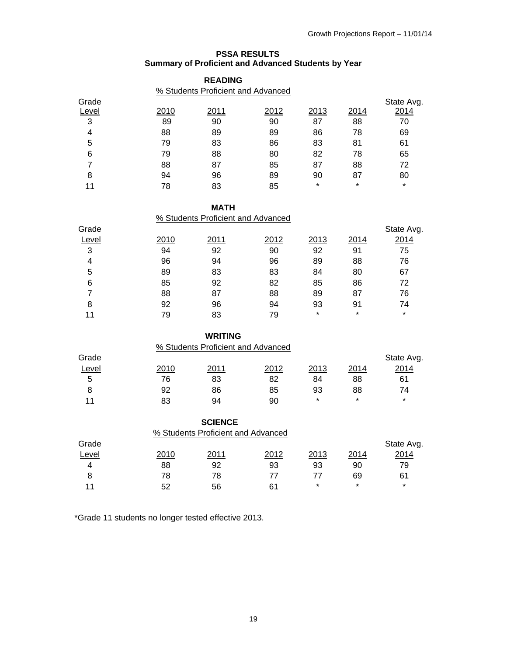## **PSSA RESULTS Summary of Proficient and Advanced Students by Year**

|                |      | <b>READING</b><br>% Students Proficient and Advanced |      |         |         |            |
|----------------|------|------------------------------------------------------|------|---------|---------|------------|
| Grade          |      |                                                      |      |         |         | State Avg. |
| Level          | 2010 | 2011                                                 | 2012 | 2013    | 2014    | 2014       |
| 3              | 89   | 90                                                   | 90   | 87      | 88      | 70         |
| 4              | 88   | 89                                                   | 89   | 86      | 78      | 69         |
| 5              | 79   | 83                                                   | 86   | 83      | 81      | 61         |
| 6              | 79   | 88                                                   | 80   | 82      | 78      | 65         |
| $\overline{7}$ | 88   | 87                                                   | 85   | 87      | 88      | 72         |
| 8              | 94   | 96                                                   | 89   | 90      | 87      | 80         |
| 11             | 78   | 83                                                   | 85   | $\star$ | $\star$ | $\star$    |
|                |      | <b>MATH</b>                                          |      |         |         |            |
|                |      | % Students Proficient and Advanced                   |      |         |         |            |
| Grade          |      |                                                      |      |         |         | State Avg. |
| Level          | 2010 | 2011                                                 | 2012 | 2013    | 2014    | 2014       |
| 3              | 94   | 92                                                   | 90   | 92      | 91      | 75         |
| 4              | 96   | 94                                                   | 96   | 89      | 88      | 76         |
| 5              | 89   | 83                                                   | 83   | 84      | 80      | 67         |
| 6              | 85   | 92                                                   | 82   | 85      | 86      | 72         |
| $\overline{7}$ | 88   | 87                                                   | 88   | 89      | 87      | 76         |
| 8              | 92   | 96                                                   | 94   | 93      | 91      | 74         |
| 11             | 79   | 83                                                   | 79   | $\star$ | $\star$ | $\star$    |
|                |      | <b>WRITING</b>                                       |      |         |         |            |
|                |      | % Students Proficient and Advanced                   |      |         |         |            |
| Grade          |      |                                                      |      |         |         | State Avg. |
| Level          | 2010 | 2011                                                 | 2012 | 2013    | 2014    | 2014       |
| 5              | 76   | 83                                                   | 82   | 84      | 88      | 61         |
| 8              | 92   | 86                                                   | 85   | 93      | 88      | 74         |
| 11             | 83   | 94                                                   | 90   | $\star$ | $\star$ | $\star$    |
|                |      | <b>SCIENCE</b>                                       |      |         |         |            |
|                |      | % Students Proficient and Advanced                   |      |         |         |            |
| Grade          |      |                                                      |      |         |         | State Avg. |
| Level          | 2010 | 2011                                                 | 2012 | 2013    | 2014    | 2014       |
| 4              | 88   | 92                                                   | 93   | 93      | 90      | 79         |

\*Grade 11 students no longer tested effective 2013.

8 78 78 77 77 69 61 11 52 56 61 \* \* \* \*